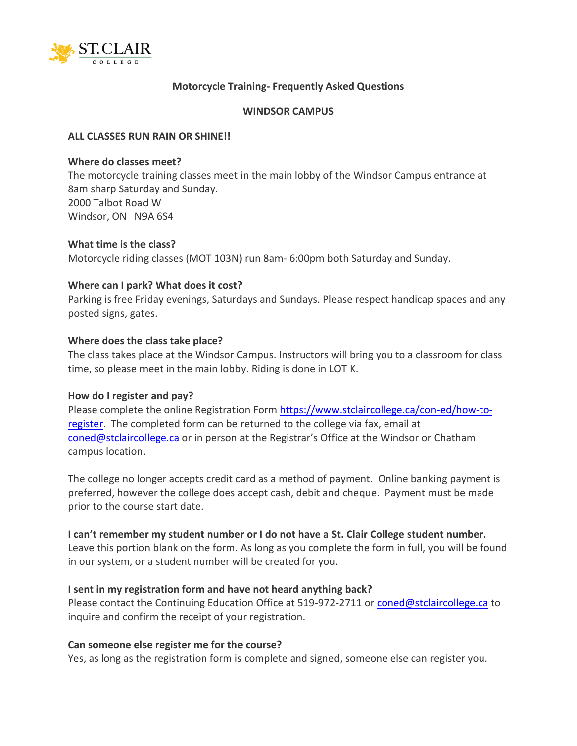

## **Motorcycle Training- Frequently Asked Questions**

#### **WINDSOR CAMPUS**

### **ALL CLASSES RUN RAIN OR SHINE!!**

#### **Where do classes meet?**

The motorcycle training classes meet in the main lobby of the Windsor Campus entrance at 8am sharp Saturday and Sunday. 2000 Talbot Road W Windsor, ON N9A 6S4

### **What time is the class?**

Motorcycle riding classes (MOT 103N) run 8am- 6:00pm both Saturday and Sunday.

### **Where can I park? What does it cost?**

Parking is free Friday evenings, Saturdays and Sundays. Please respect handicap spaces and any posted signs, gates.

### **Where does the class take place?**

The class takes place at the Windsor Campus. Instructors will bring you to a classroom for class time, so please meet in the main lobby. Riding is done in LOT K.

#### **How do I register and pay?**

Please complete the online Registration Form [https://www.stclaircollege.ca/con-ed/how-to](https://www.stclaircollege.ca/con-ed/how-to-register)[register.](https://www.stclaircollege.ca/con-ed/how-to-register) The completed form can be returned to the college via fax, email at [coned@stclaircollege.ca](mailto:coned@stclaircollege.ca) or in person at the Registrar's Office at the Windsor or Chatham campus location.

The college no longer accepts credit card as a method of payment. Online banking payment is preferred, however the college does accept cash, debit and cheque. Payment must be made prior to the course start date.

## **I can't remember my student number or I do not have a St. Clair College student number.**

Leave this portion blank on the form. As long as you complete the form in full, you will be found in our system, or a student number will be created for you.

## **I sent in my registration form and have not heard anything back?**

Please contact the Continuing Education Office at 519-972-2711 or [coned@stclaircollege.ca](mailto:coned@stclaircollege.ca) to inquire and confirm the receipt of your registration.

## **Can someone else register me for the course?**

Yes, as long as the registration form is complete and signed, someone else can register you.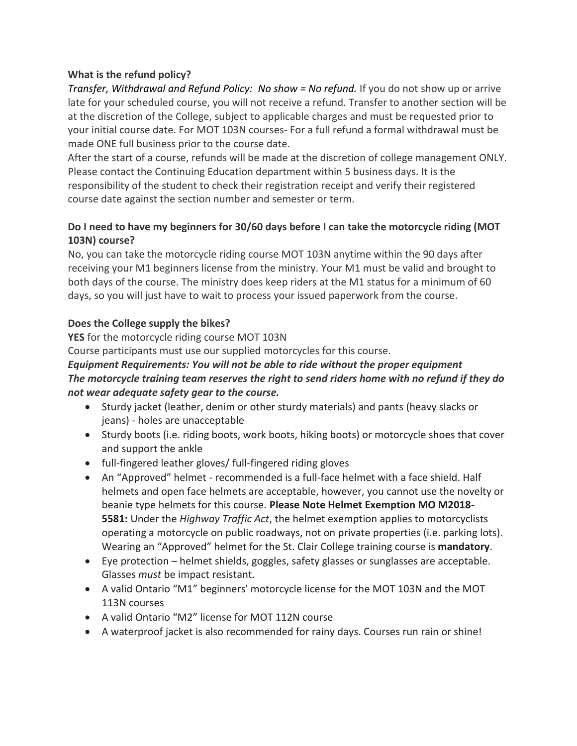## **What is the refund policy?**

*Transfer, Withdrawal and Refund Policy: No show = No refund.* If you do not show up or arrive late for your scheduled course, you will not receive a refund. Transfer to another section will be at the discretion of the College, subject to applicable charges and must be requested prior to your initial course date. For MOT 103N courses- For a full refund a formal withdrawal must be made ONE full business prior to the course date.

After the start of a course, refunds will be made at the discretion of college management ONLY. Please contact the Continuing Education department within 5 business days. It is the responsibility of the student to check their registration receipt and verify their registered course date against the section number and semester or term.

# **Do I need to have my beginners for 30/60 days before I can take the motorcycle riding (MOT 103N) course?**

No, you can take the motorcycle riding course MOT 103N anytime within the 90 days after receiving your M1 beginners license from the ministry. Your M1 must be valid and brought to both days of the course. The ministry does keep riders at the M1 status for a minimum of 60 days, so you will just have to wait to process your issued paperwork from the course.

## **Does the College supply the bikes?**

**YES** for the motorcycle riding course MOT 103N

Course participants must use our supplied motorcycles for this course.

# *Equipment Requirements: You will not be able to ride without the proper equipment The motorcycle training team reserves the right to send riders home with no refund if they do not wear adequate safety gear to the course.*

- Sturdy jacket (leather, denim or other sturdy materials) and pants (heavy slacks or jeans) - holes are unacceptable
- Sturdy boots (i.e. riding boots, work boots, hiking boots) or motorcycle shoes that cover and support the ankle
- full-fingered leather gloves/ full-fingered riding gloves
- An "Approved" helmet recommended is a full-face helmet with a face shield. Half helmets and open face helmets are acceptable, however, you cannot use the novelty or beanie type helmets for this course. **Please Note Helmet Exemption MO M2018- 5581:** Under the *Highway Traffic Act*, the helmet exemption applies to motorcyclists operating a motorcycle on public roadways, not on private properties (i.e. parking lots). Wearing an "Approved" helmet for the St. Clair College training course is **mandatory**.
- Eye protection helmet shields, goggles, safety glasses or sunglasses are acceptable. Glasses *must* be impact resistant.
- A valid Ontario "M1" beginners' motorcycle license for the MOT 103N and the MOT 113N courses
- A valid Ontario "M2" license for MOT 112N course
- A waterproof jacket is also recommended for rainy days. Courses run rain or shine!